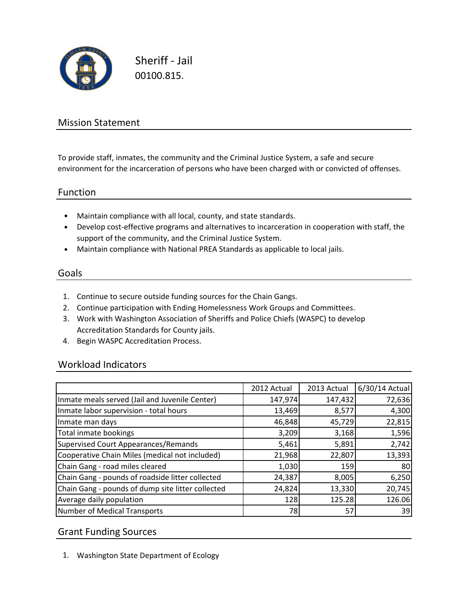

Sheriff - Jail 00100.815.

## Mission Statement

To provide staff, inmates, the community and the Criminal Justice System, a safe and secure environment for the incarceration of persons who have been charged with or convicted of offenses.

#### Function

- Maintain compliance with all local, county, and state standards.
- Develop cost-effective programs and alternatives to incarceration in cooperation with staff, the support of the community, and the Criminal Justice System.
- Maintain compliance with National PREA Standards as applicable to local jails.

### Goals

- 1. Continue to secure outside funding sources for the Chain Gangs.
- 2. Continue participation with Ending Homelessness Work Groups and Committees.
- 3. Work with Washington Association of Sheriffs and Police Chiefs (WASPC) to develop Accreditation Standards for County jails.
- 4. Begin WASPC Accreditation Process.

## Workload Indicators

|                                                   | 2012 Actual | 2013 Actual | 6/30/14 Actual |
|---------------------------------------------------|-------------|-------------|----------------|
| Inmate meals served (Jail and Juvenile Center)    | 147,974     | 147,432     | 72,636         |
| Inmate labor supervision - total hours            | 13,469      | 8,577       | 4,300          |
| Inmate man days                                   | 46,848      | 45,729      | 22,815         |
| Total inmate bookings                             | 3,209       | 3,168       | 1,596          |
| Supervised Court Appearances/Remands              | 5,461       | 5,891       | 2,742          |
| Cooperative Chain Miles (medical not included)    | 21,968      | 22,807      | 13,393         |
| Chain Gang - road miles cleared                   | 1,030       | 159         | 80             |
| Chain Gang - pounds of roadside litter collected  | 24,387      | 8,005       | 6,250          |
| Chain Gang - pounds of dump site litter collected | 24,824      | 13,330      | 20,745         |
| Average daily population                          | 128         | 125.28      | 126.06         |
| Number of Medical Transports                      | 78          | 57          | 39             |

#### Grant Funding Sources

1. Washington State Department of Ecology